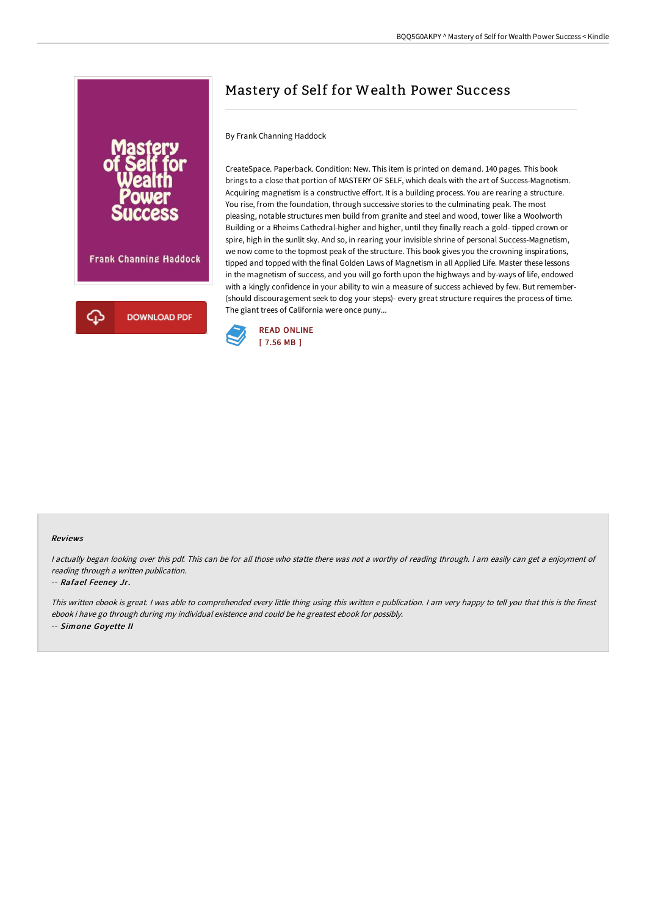

# Mastery of Self for Wealth Power Success

## By Frank Channing Haddock

CreateSpace. Paperback. Condition: New. This item is printed on demand. 140 pages. This book brings to a close that portion of MASTERY OF SELF, which deals with the art of Success-Magnetism. Acquiring magnetism is a constructive effort. It is a building process. You are rearing a structure. You rise, from the foundation, through successive stories to the culminating peak. The most pleasing, notable structures men build from granite and steel and wood, tower like a Woolworth Building or a Rheims Cathedral-higher and higher, until they finally reach a gold- tipped crown or spire, high in the sunlit sky. And so, in rearing your invisible shrine of personal Success-Magnetism, we now come to the topmost peak of the structure. This book gives you the crowning inspirations, tipped and topped with the final Golden Laws of Magnetism in all Applied Life. Master these lessons in the magnetism of success, and you will go forth upon the highways and by-ways of life, endowed with a kingly confidence in your ability to win a measure of success achieved by few. But remember- (should discouragement seek to dog your steps)- every great structure requires the process of time. The giant trees of California were once puny...



#### Reviews

<sup>I</sup> actually began looking over this pdf. This can be for all those who statte there was not <sup>a</sup> worthy of reading through. <sup>I</sup> am easily can get <sup>a</sup> enjoyment of reading through <sup>a</sup> written publication.

### -- Rafael Feeney Jr.

This written ebook is great. <sup>I</sup> was able to comprehended every little thing using this written <sup>e</sup> publication. <sup>I</sup> am very happy to tell you that this is the finest ebook i have go through during my individual existence and could be he greatest ebook for possibly. -- Simone Goyette II